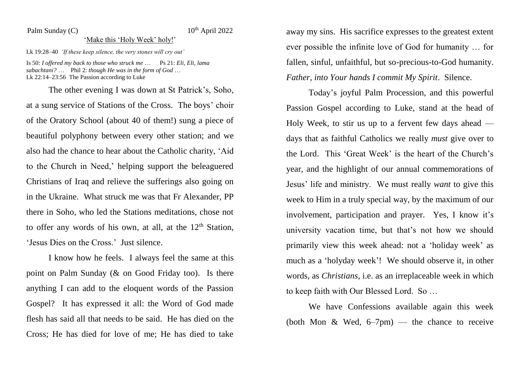## Palm Sunday  $(C)$

## $10^{th}$  April 2022

## 'Make this 'Holy Week' holy!'

Lk 19:28–40 *'If these keep silence, the very stones will cry out'*

Is 50: *I offered my back to those who struck me* … Ps 21: *Eli, Eli, lama sabachtani?* … Phil 2: *though He was in the form of God* … Lk 22:14–23:56 The Passion according to Luke

The other evening I was down at St Patrick's, Soho, at a sung service of Stations of the Cross. The boys' choir of the Oratory School (about 40 of them!) sung a piece of beautiful polyphony between every other station; and we also had the chance to hear about the Catholic charity, 'Aid to the Church in Need,' helping support the beleaguered Christians of Iraq and relieve the sufferings also going on in the Ukraine. What struck me was that Fr Alexander, PP there in Soho, who led the Stations meditations, chose not to offer any words of his own, at all, at the  $12<sup>th</sup>$  Station, 'Jesus Dies on the Cross.' Just silence.

I know how he feels. I always feel the same at this point on Palm Sunday (& on Good Friday too). Is there anything I can add to the eloquent words of the Passion Gospel? It has expressed it all: the Word of God made flesh has said all that needs to be said. He has died on the Cross; He has died for love of me; He has died to take

away my sins. His sacrifice expresses to the greatest extent ever possible the infinite love of God for humanity … for fallen, sinful, unfaithful, but so-precious-to-God humanity. *Father, into Your hands I commit My Spirit*. Silence.

Today's joyful Palm Procession, and this powerful Passion Gospel according to Luke, stand at the head of Holy Week, to stir us up to a fervent few days ahead days that as faithful Catholics we really *must* give over to the Lord. This 'Great Week' is the heart of the Church's year, and the highlight of our annual commemorations of Jesus' life and ministry. We must really *want* to give this week to Him in a truly special way, by the maximum of our involvement, participation and prayer. Yes, I know it's university vacation time, but that's not how we should primarily view this week ahead: not a 'holiday week' as much as a 'holyday week'! We should observe it, in other words, as *Christians*, i.e. as an irreplaceable week in which to keep faith with Our Blessed Lord. So …

We have Confessions available again this week (both Mon & Wed,  $6-7$ pm) — the chance to receive